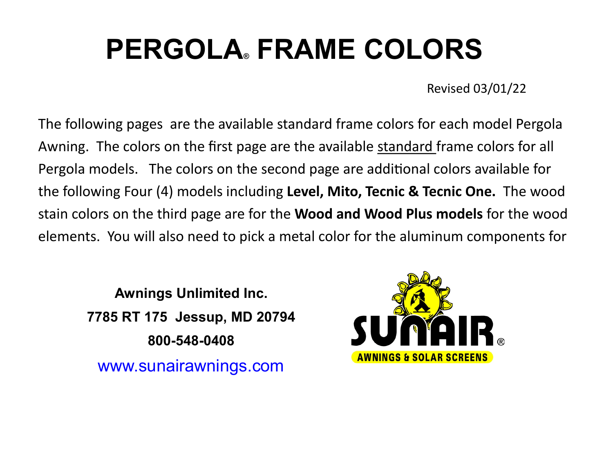# **PERGOLA® FRAME COLORS**

Revised 03/01/22

The following pages are the available standard frame colors for each model Pergola Awning. The colors on the first page are the available standard frame colors for all Pergola models. The colors on the second page are additional colors available for the following Four (4) models including **Level, Mito, Tecnic & Tecnic One.** The wood stain colors on the third page are for the **Wood and Wood Plus models** for the wood elements. You will also need to pick a metal color for the aluminum components for

**Awnings Unlimited Inc. 7785 RT 175 Jessup, MD 20794 800-548-0408** www.sunairawnings.com

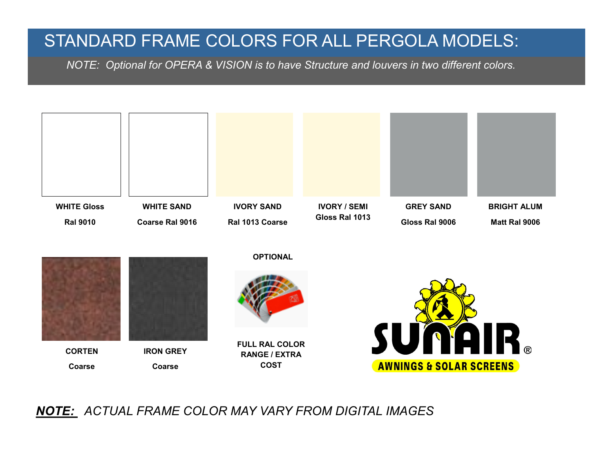## STANDARD FRAME COLORS FOR ALL PERGOLA MODELS:

 *NOTE: Optional for OPERA & VISION is to have Structure and louvers in two different colors.* 



*NOTE: ACTUAL FRAME COLOR MAY VARY FROM DIGITAL IMAGES*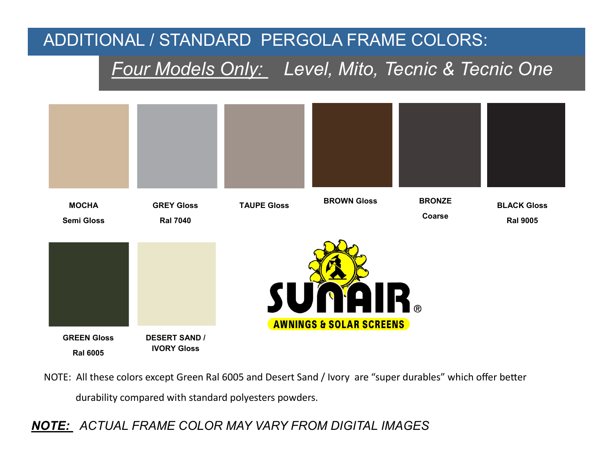## ADDITIONAL / STANDARD PERGOLA FRAME COLORS:

## *Four Models Only: Level, Mito, Tecnic & Tecnic One*



NOTE: All these colors except Green Ral 6005 and Desert Sand / Ivory are "super durables" which offer better durability compared with standard polyesters powders.

*NOTE: ACTUAL FRAME COLOR MAY VARY FROM DIGITAL IMAGES*